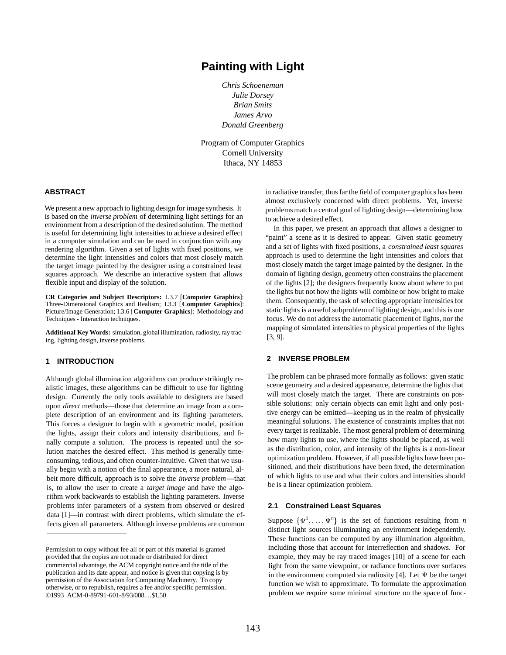# **Painting with Light**

*Chris Schoeneman Julie Dorsey Brian Smits James Arvo Donald Greenberg*

Program of Computer Graphics Cornell University Ithaca, NY 14853

#### **ABSTRACT**

We present a new approach to lighting design for image synthesis. It is based on the *inverse problem* of determining light settings for an environment from a description of the desired solution. The method is useful for determining light intensities to achieve a desired effect in a computer simulation and can be used in conjunction with any rendering algorithm. Given a set of lights with fixed positions, we determine the light intensities and colors that most closely match the target image painted by the designer using a constrained least squares approach. We describe an interactive system that allows flexible input and display of the solution.

**CR Categories and Subject Descriptors:** I.3.7 [**Computer Graphics**]: Three-Dimensional Graphics and Realism; I.3.3 [**Computer Graphics**]: Picture/Image Generation; I.3.6 [**Computer Graphics**]: Methodology and Techniques - Interaction techniques.

**Additional Key Words:** simulation, global illumination, radiosity, ray tracing, lighting design, inverse problems.

### **1 INTRODUCTION**

Although global illumination algorithms can produce strikingly realistic images, these algorithms can be difficult to use for lighting design. Currently the only tools available to designers are based upon *direct* methods—those that determine an image from a complete description of an environment and its lighting parameters. This forces a designer to begin with a geometric model, position the lights, assign their colors and intensity distributions, and finally compute a solution. The process is repeated until the solution matches the desired effect. This method is generally timeconsuming, tedious, and often counter-intuitive. Given that we usually begin with a notion of the final appearance, a more natural, albeit more difficult, approach is to solve the *inverse problem*—that is, to allow the user to create a *target image* and have the algorithm work backwards to establish the lighting parameters. Inverse problems infer parameters of a system from observed or desired data [1]—in contrast with direct problems, which simulate the effects given all parameters. Although inverse problems are common

in radiative transfer, thus far the field of computer graphics has been almost exclusively concerned with direct problems. Yet, inverse problems match a central goal of lighting design—determining how to achieve a desired effect.

In this paper, we present an approach that allows a designer to "paint" a scene as it is desired to appear. Given static geometry and a set of lights with fixed positions, a *constrained least squares* approach is used to determine the light intensities and colors that most closely match the target image painted by the designer. In the domain of lighting design, geometry often constrains the placement of the lights [2]; the designers frequently know about where to put the lights but not how the lights will combine or how bright to make them. Consequently, the task of selecting appropriate intensities for static lights is a useful subproblem of lighting design, and this is our focus. We do not address the automatic placement of lights, nor the mapping of simulated intensities to physical properties of the lights [3, 9].

# **2 INVERSE PROBLEM**

The problem can be phrased more formally as follows: given static scene geometry and a desired appearance, determine the lights that will most closely match the target. There are constraints on possible solutions: only certain objects can emit light and only positive energy can be emitted—keeping us in the realm of physically meaningful solutions. The existence of constraints implies that not every target is realizable. The most general problem of determining how many lights to use, where the lights should be placed, as well as the distribution, color, and intensity of the lights is a non-linear optimization problem. However, if all possible lights have been positioned, and their distributions have been fixed, the determination of which lights to use and what their colors and intensities should be is a linear optimization problem.

#### **2.1 Constrained Least Squares**

Suppose  $\{\Phi^1, \ldots, \Phi^n\}$  is the set of functions resulting from *n* distinct light sources illuminating an environment independently. These functions can be computed by any illumination algorithm, including those that account for interreflection and shadows. For example, they may be ray traced images [10] of a scene for each light from the same viewpoint, or radiance functions over surfaces in the environment computed via radiosity [4]. Let  $\Psi$  be the target function we wish to approximate. To formulate the approximation problem we require some minimal structure on the space of func-

Permission to copy without fee all or part of this material is granted Permission to copy without fee all or part of this material is granted provided that the copies are not made or distributed for direct provided that the copies are not made or distributed for direct commercial advantage, the ACM copyright notice and the title of the commercial advantage, the ACM copyright notice and the title of the publication and its date appear, and notice is given that copying is by publication and its date appear, and notice is given that copying is by permission of the Association for Computing Machinery. To copy permission of the Association for Computing Machinery. To copy otherwise, or to republish, requires a fee and/or specific permission. otherwise, or to republish, requires a fee and/or specific permission. ©1993 ACM-0-89791-601-8/93/008…\$1.50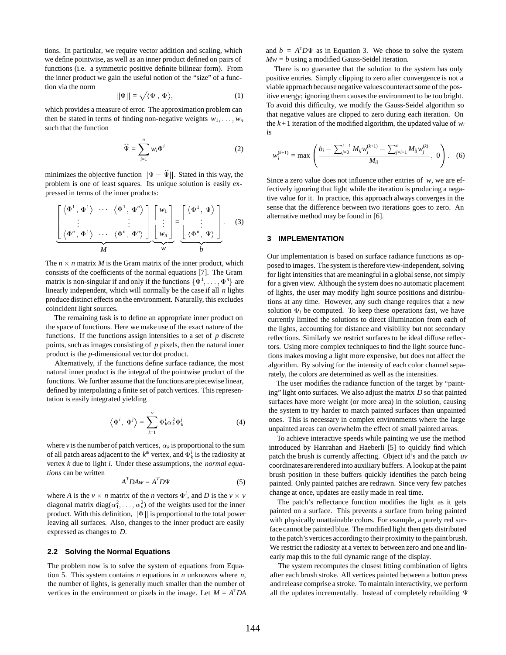tions. In particular, we require vector addition and scaling, which we define pointwise, as well as an inner product defined on pairs of functions (i.e. a symmetric positive definite bilinear form). From the inner product we gain the useful notion of the "size" of a function via the norm

$$
||\Phi|| = \sqrt{\langle \Phi , \Phi \rangle}, \tag{1}
$$

which provides a measure of error. The approximation problem can then be stated in terms of finding non-negative weights  $w_1, \ldots, w_n$ such that the function

$$
\widehat{\Psi} = \sum_{i=1}^{n} w_i \Phi^i \tag{2}
$$

minimizes the objective function  $||\Psi - \widehat{\Psi}||$ . Stated in this way, the problem is one of least squares. Its unique solution is easily expressed in terms of the inner products:

$$
\left[\begin{array}{ccc} \left\langle \Phi^1, \Phi^1 \right\rangle & \cdots & \left\langle \Phi^1, \Phi^n \right\rangle \\ \vdots & & \vdots \\ \left\langle \Phi^n, \Phi^1 \right\rangle & \cdots & \left\langle \Phi^n, \Phi^n \right\rangle \end{array}\right] \underbrace{\begin{bmatrix} w_1 \\ \vdots \\ w_n \end{bmatrix}}_{W} = \underbrace{\begin{bmatrix} \left\langle \Phi^1, \Psi \right\rangle \\ \vdots \\ \left\langle \Phi^n, \Psi \right\rangle \end{bmatrix}}_{b}.
$$
 (3)

The  $n \times n$  matrix *M* is the Gram matrix of the inner product, which consists of the coefficients of the normal equations [7]. The Gram matrix is non-singular if and only if the functions  $\{\Phi^1, \ldots, \Phi^n\}$  are linearly independent, which will normally be the case if all *n* lights produce distinct effects on the environment. Naturally, this excludes coincident light sources.

The remaining task is to define an appropriate inner product on the space of functions. Here we make use of the exact nature of the functions. If the functions assign intensities to a set of *p* discrete points, such as images consisting of *p* pixels, then the natural inner product is the *p*-dimensional vector dot product.

Alternatively, if the functions define surface radiance, the most natural inner product is the integral of the pointwise product of the functions. We further assume that the functions are piecewise linear, defined by interpolating a finite set of patch vertices. This representation is easily integrated yielding

$$
\left\langle \Phi^i, \Phi^j \right\rangle = \sum_{k=1}^{\nu} \Phi^i_k \alpha^2_k \Phi^j_k \tag{4}
$$

where *v* is the number of patch vertices,  $\alpha_k$  is proportional to the sum of all patch areas adjacent to the  $k^\text{th}$  vertex, and  $\Phi_k^i$  is the radiosity at vertex *k* due to light *i*. Under these assumptions, the *normal equations* can be written

$$
A^T D A w = A^T D \Psi \tag{5}
$$

where *A* is the  $v \times n$  matrix of the *n* vectors  $\Phi^i$ , and *D* is the  $v \times v$ diagonal matrix diag( $\alpha_1^2, \ldots, \alpha_v^2$ ) of the weights used for the inner product. With this definition,  $\|\Phi\|$  is proportional to the total power leaving all surfaces. Also, changes to the inner product are easily expressed as changes to *D*.

#### **2.2 Solving the Normal Equations**

The problem now is to solve the system of equations from Equation 5. This system contains *n* equations in *n* unknowns where *n*, the number of lights, is generally much smaller than the number of vertices in the environment or pixels in the image. Let  $M = A<sup>T</sup>DA$ 

and  $b = A^T D \Psi$  as in Equation 3. We chose to solve the system  $Mw = b$  using a modified Gauss-Seidel iteration.

There is no guarantee that the solution to the system has only positive entries. Simply clipping to zero after convergence is not a viable approach because negative values counteract some of the positive energy; ignoring them causes the environment to be too bright. To avoid this difficulty, we modify the Gauss-Seidel algorithm so that negative values are clipped to zero during each iteration. On the  $k+1$  iteration of the modified algorithm, the updated value of  $w_i$ is

$$
w_i^{(k+1)} = \max\left(\frac{b_i - \sum_{j=0}^{i-1} M_{ij} w_j^{(k+1)} - \sum_{j=i+1}^n M_{ij} w_j^{(k)}}{M_{ii}}, 0\right).
$$
 (6)

Since a zero value does not influence other entries of *w*, we are effectively ignoring that light while the iteration is producing a negative value for it. In practice, this approach always converges in the sense that the difference between two iterations goes to zero. An alternative method may be found in [6].

#### **3 IMPLEMENTATION**

Our implementation is based on surface radiance functions as opposed to images. The system is therefore view-independent, solving for light intensities that are meaningful in a global sense, not simply for a given view. Although the system does no automatic placement of lights, the user may modify light source positions and distributions at any time. However, any such change requires that a new solution  $\Phi_i$  be computed. To keep these operations fast, we have currently limited the solutions to direct illumination from each of the lights, accounting for distance and visibility but not secondary reflections. Similarly we restrict surfaces to be ideal diffuse reflectors. Using more complex techniques to find the light source functions makes moving a light more expensive, but does not affect the algorithm. By solving for the intensity of each color channel separately, the colors are determined as well as the intensities.

The user modifies the radiance function of the target by "painting" light onto surfaces. We also adjust the matrix *D* so that painted surfaces have more weight (or more area) in the solution, causing the system to try harder to match painted surfaces than unpainted ones. This is necessary in complex environments where the large unpainted areas can overwhelm the effect of small painted areas.

To achieve interactive speeds while painting we use the method introduced by Hanrahan and Haeberli [5] to quickly find which patch the brush is currently affecting. Object id's and the patch *uv* coordinatesare rendered into auxiliary buffers. A lookup at the paint brush position in these buffers quickly identifies the patch being painted. Only painted patches are redrawn. Since very few patches change at once, updates are easily made in real time.

The patch's reflectance function modifies the light as it gets painted on a surface. This prevents a surface from being painted with physically unattainable colors. For example, a purely red surface cannot be painted blue. The modified light then gets distributed to the patch's vertices according to their proximity to the paint brush. We restrict the radiosity at a vertex to between zero and one and linearly map this to the full dynamic range of the display.

The system recomputes the closest fitting combination of lights after each brush stroke. All vertices painted between a button press and release comprise a stroke. To maintain interactivity, we perform all the updates incrementally. Instead of completely rebuilding  $\Psi$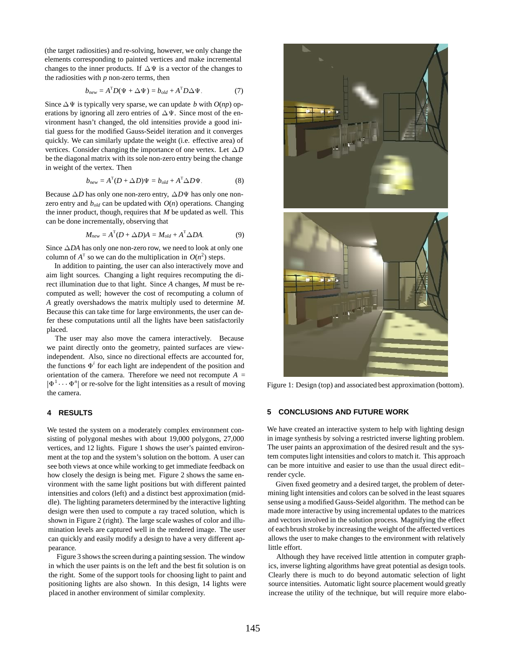(the target radiosities) and re-solving, however, we only change the elements corresponding to painted vertices and make incremental changes to the inner products. If  $\Delta \Psi$  is a vector of the changes to the radiosities with *p* non-zero terms, then

$$
b_{new} = A^{\mathrm{T}} D(\Psi + \Delta \Psi) = b_{old} + A^{\mathrm{T}} D \Delta \Psi.
$$
 (7)

Since  $\Delta \Psi$  is typically very sparse, we can update *b* with  $O(np)$  operations by ignoring all zero entries of  $\Delta \Psi$ . Since most of the environment hasn't changed, the old intensities provide a good initial guess for the modified Gauss-Seidel iteration and it converges quickly. We can similarly update the weight (i.e. effective area) of vertices. Consider changing the importance of one vertex. Let  $\Delta D$ be the diagonal matrix with its sole non-zero entry being the change in weight of the vertex. Then

$$
b_{new} = A^{T}(D + \Delta D)\Psi = b_{old} + A^{T}\Delta D\Psi.
$$
 (8)

Because  $\Delta D$  has only one non-zero entry,  $\Delta D\Psi$  has only one nonzero entry and  $b_{old}$  can be updated with  $O(n)$  operations. Changing the inner product, though, requires that *M* be updated as well. This can be done incrementally, observing that

$$
M_{new} = A^{T}(D + \Delta D)A = M_{old} + A^{T}\Delta DA.
$$
 (9)

Since  $\triangle$ *DA* has only one non-zero row, we need to look at only one column of  $A^T$  so we can do the multiplication in  $O(n^2)$  steps.

In addition to painting, the user can also interactively move and aim light sources. Changing a light requires recomputing the direct illumination due to that light. Since *A* changes, *M* must be recomputed as well; however the cost of recomputing a column of *A* greatly overshadows the matrix multiply used to determine *M*. Because this can take time for large environments, the user can defer these computations until all the lights have been satisfactorily placed.

The user may also move the camera interactively. Because we paint directly onto the geometry, painted surfaces are viewindependent. Also, since no directional effects are accounted for, the functions  $\Phi^i$  for each light are independent of the position and orientation of the camera. Therefore we need not recompute  $A =$  $|\Phi^1 \cdots \Phi^n|$  or re-solve for the light intensities as a result of moving the camera.

# **4 RESULTS**

We tested the system on a moderately complex environment consisting of polygonal meshes with about 19,000 polygons, 27,000 vertices, and 12 lights. Figure 1 shows the user's painted environment at the top and the system's solution on the bottom. A user can see both views at once while working to get immediate feedback on how closely the design is being met. Figure 2 shows the same environment with the same light positions but with different painted intensities and colors (left) and a distinct best approximation (middle). The lighting parameters determined by the interactive lighting design were then used to compute a ray traced solution, which is shown in Figure 2 (right). The large scale washes of color and illumination levels are captured well in the rendered image. The user can quickly and easily modify a design to have a very different appearance.

Figure 3 shows the screen during a painting session. The window in which the user paints is on the left and the best fit solution is on the right. Some of the support tools for choosing light to paint and positioning lights are also shown. In this design, 14 lights were placed in another environment of similar complexity.



Figure 1: Design (top) and associated best approximation (bottom).

# **5 CONCLUSIONS AND FUTURE WORK**

We have created an interactive system to help with lighting design in image synthesis by solving a restricted inverse lighting problem. The user paints an approximation of the desired result and the system computes light intensities and colors to match it. This approach can be more intuitive and easier to use than the usual direct edit– render cycle.

Given fixed geometry and a desired target, the problem of determining light intensities and colors can be solved in the least squares sense using a modified Gauss-Seidel algorithm. The method can be made more interactive by using incremental updates to the matrices and vectors involved in the solution process. Magnifying the effect of each brush stroke by increasing the weight of the affected vertices allows the user to make changes to the environment with relatively little effort.

Although they have received little attention in computer graphics, inverse lighting algorithms have great potential as design tools. Clearly there is much to do beyond automatic selection of light source intensities. Automatic light source placement would greatly increase the utility of the technique, but will require more elabo-